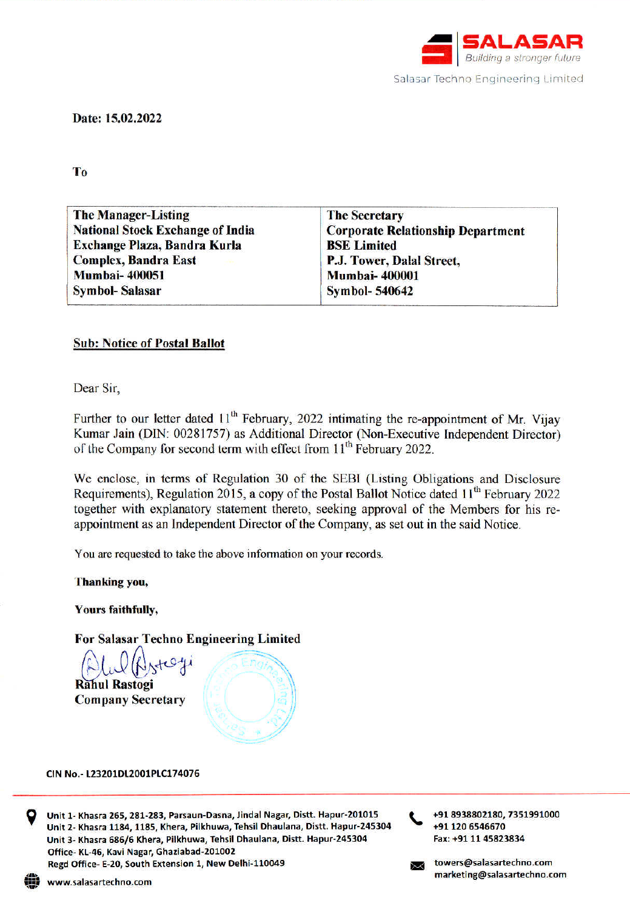

Date: 15.02.2022

# T<sub>o</sub>

| <b>The Manager-Listing</b>              | <b>The Secretary</b>                     |
|-----------------------------------------|------------------------------------------|
| <b>National Stock Exchange of India</b> | <b>Corporate Relationship Department</b> |
| Exchange Plaza, Bandra Kurla            | <b>BSE</b> Limited                       |
| <b>Complex, Bandra East</b>             | P.J. Tower, Dalal Street,                |
| <b>Mumbai-400051</b>                    | <b>Mumbai-400001</b>                     |
| <b>Symbol-Salasar</b>                   | <b>Symbol-540642</b>                     |

# **Sub: Notice of Postal Ballot**

Dear Sir,

Further to our letter dated 11<sup>th</sup> February, 2022 intimating the re-appointment of Mr. Vijay Kumar Jain (DIN: 00281757) as Additional Director (Non-Executive Independent Director) of the Company for second term with effect from 11<sup>th</sup> February 2022.

We enclose, in terms of Regulation 30 of the SEBI (Listing Obligations and Disclosure Requirements), Regulation 2015, a copy of the Postal Ballot Notice dated 11<sup>th</sup> February 2022 together with explanatory statement thereto, seeking approval of the Members for his reappointment as an Independent Director of the Company, as set out in the said Notice.

You are requested to take the above information on your records.

Thanking you,

**Yours faithfully,** 

**For Salasar Techno Engineering Limited** 

 $J$ Atest **Rahul Rastogi Company Secretary** 



#### CIN No.- L23201DL2001PLC174076



Unit 1- Khasra 265, 281-283, Parsaun-Dasna, Jindal Nagar, Distt. Hapur-201015 Unit 2- Khasra 1184, 1185, Khera, Pilkhuwa, Tehsil Dhaulana, Distt. Hapur-245304 Unit 3- Khasra 686/6 Khera, Pilkhuwa, Tehsil Dhaulana, Distt. Hapur-245304 Office-KL-46, Kavi Nagar, Ghaziabad-201002 Regd Office- E-20, South Extension 1, New Delhi-110049

+91 8938802180, 7351991000 +91 120 6546670 Fax: +91 11 45823834

towers@salasartechno.com marketing@salasartechno.com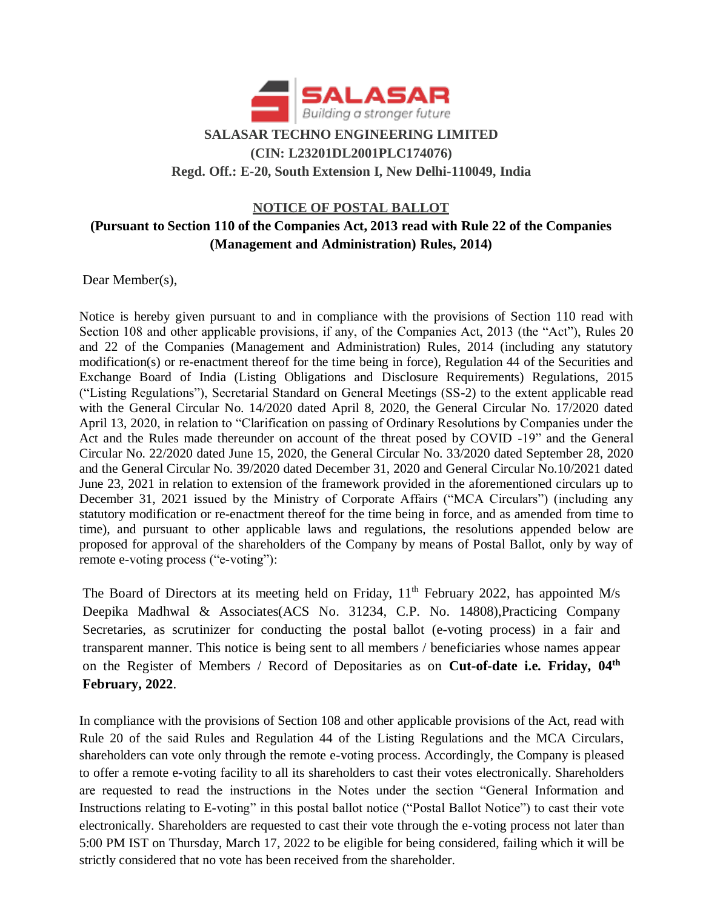

# **NOTICE OF POSTAL BALLOT**

# **(Pursuant to Section 110 of the Companies Act, 2013 read with Rule 22 of the Companies (Management and Administration) Rules, 2014)**

Dear Member(s),

Notice is hereby given pursuant to and in compliance with the provisions of Section 110 read with Section 108 and other applicable provisions, if any, of the Companies Act, 2013 (the "Act"), Rules 20 and 22 of the Companies (Management and Administration) Rules, 2014 (including any statutory modification(s) or re-enactment thereof for the time being in force), Regulation 44 of the Securities and Exchange Board of India (Listing Obligations and Disclosure Requirements) Regulations, 2015 ("Listing Regulations"), Secretarial Standard on General Meetings (SS-2) to the extent applicable read with the General Circular No. 14/2020 dated April 8, 2020, the General Circular No. 17/2020 dated April 13, 2020, in relation to "Clarification on passing of Ordinary Resolutions by Companies under the Act and the Rules made thereunder on account of the threat posed by COVID -19" and the General Circular No. 22/2020 dated June 15, 2020, the General Circular No. 33/2020 dated September 28, 2020 and the General Circular No. 39/2020 dated December 31, 2020 and General Circular No.10/2021 dated June 23, 2021 in relation to extension of the framework provided in the aforementioned circulars up to December 31, 2021 issued by the Ministry of Corporate Affairs ("MCA Circulars") (including any statutory modification or re-enactment thereof for the time being in force, and as amended from time to time), and pursuant to other applicable laws and regulations, the resolutions appended below are proposed for approval of the shareholders of the Company by means of Postal Ballot, only by way of remote e-voting process ("e-voting"):

The Board of Directors at its meeting held on Friday,  $11<sup>th</sup>$  February 2022, has appointed M/s Deepika Madhwal & Associates(ACS No. 31234, C.P. No. 14808),Practicing Company Secretaries, as scrutinizer for conducting the postal ballot (e-voting process) in a fair and transparent manner. This notice is being sent to all members / beneficiaries whose names appear on the Register of Members / Record of Depositaries as on **Cut-of-date i.e. Friday, 04th February, 2022**.

In compliance with the provisions of Section 108 and other applicable provisions of the Act, read with Rule 20 of the said Rules and Regulation 44 of the Listing Regulations and the MCA Circulars, shareholders can vote only through the remote e-voting process. Accordingly, the Company is pleased to offer a remote e-voting facility to all its shareholders to cast their votes electronically. Shareholders are requested to read the instructions in the Notes under the section "General Information and Instructions relating to E-voting" in this postal ballot notice ("Postal Ballot Notice") to cast their vote electronically. Shareholders are requested to cast their vote through the e-voting process not later than 5:00 PM IST on Thursday, March 17, 2022 to be eligible for being considered, failing which it will be strictly considered that no vote has been received from the shareholder.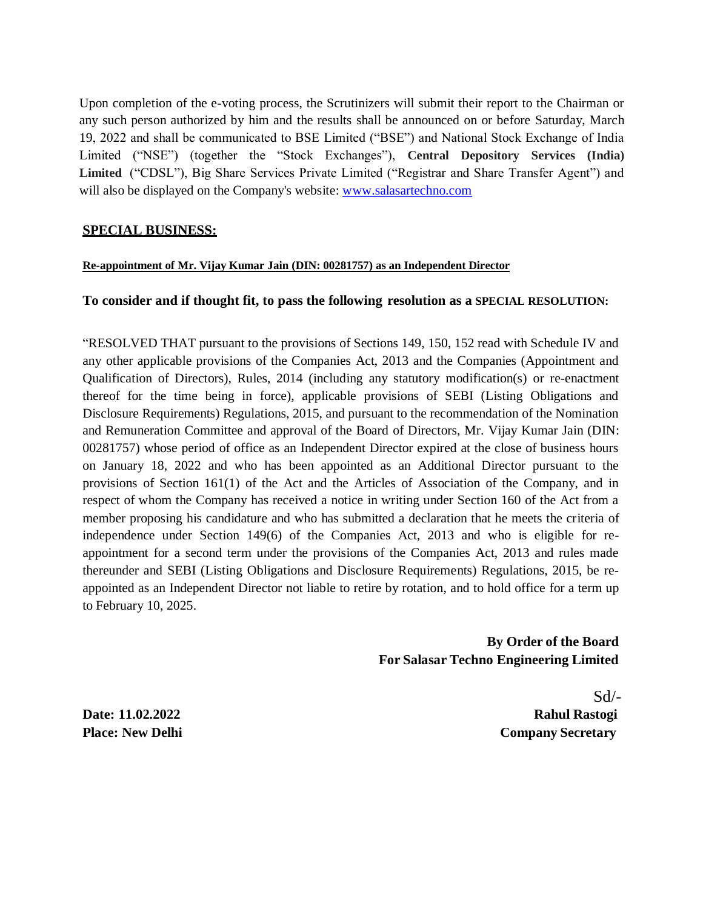Upon completion of the e-voting process, the Scrutinizers will submit their report to the Chairman or any such person authorized by him and the results shall be announced on or before Saturday, March 19, 2022 and shall be communicated to BSE Limited ("BSE") and National Stock Exchange of India Limited ("NSE") (together the "Stock Exchanges"), **Central Depository Services (India) Limited** ("CDSL"), Big Share Services Private Limited ("Registrar and Share Transfer Agent") and will also be displayed on the Company's website: [www.salasartechno.com](http://www.salasartechno.com/)

# **SPECIAL BUSINESS:**

#### **Re-appointment of Mr. Vijay Kumar Jain (DIN: 00281757) as an Independent Director**

#### **To consider and if thought fit, to pass the following resolution as a SPECIAL RESOLUTION:**

"RESOLVED THAT pursuant to the provisions of Sections 149, 150, 152 read with Schedule IV and any other applicable provisions of the Companies Act, 2013 and the Companies (Appointment and Qualification of Directors), Rules, 2014 (including any statutory modification(s) or re-enactment thereof for the time being in force), applicable provisions of SEBI (Listing Obligations and Disclosure Requirements) Regulations, 2015, and pursuant to the recommendation of the Nomination and Remuneration Committee and approval of the Board of Directors, Mr. Vijay Kumar Jain (DIN: 00281757) whose period of office as an Independent Director expired at the close of business hours on January 18, 2022 and who has been appointed as an Additional Director pursuant to the provisions of Section 161(1) of the Act and the Articles of Association of the Company, and in respect of whom the Company has received a notice in writing under Section 160 of the Act from a member proposing his candidature and who has submitted a declaration that he meets the criteria of independence under Section 149(6) of the Companies Act, 2013 and who is eligible for reappointment for a second term under the provisions of the Companies Act, 2013 and rules made thereunder and SEBI (Listing Obligations and Disclosure Requirements) Regulations, 2015, be reappointed as an Independent Director not liable to retire by rotation, and to hold office for a term up to February 10, 2025.

> **By Order of the Board For Salasar Techno Engineering Limited**

Sd/- **Date: 11.02.2022 Rahul Rastogi Place: New Delhi Company Secretary**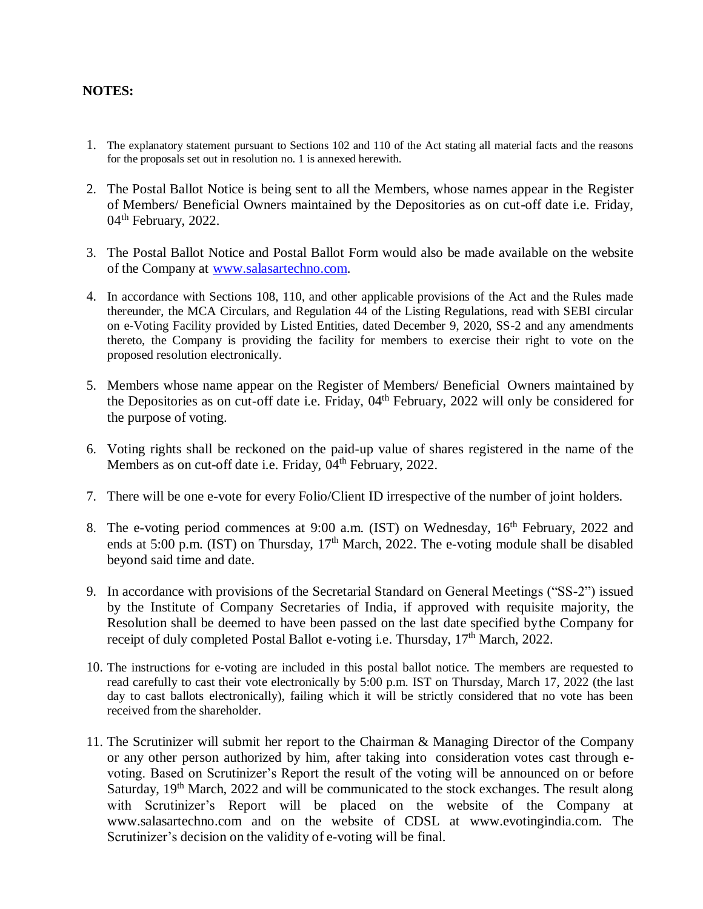#### **NOTES:**

- 1. The explanatory statement pursuant to Sections 102 and 110 of the Act stating all material facts and the reasons for the proposals set out in resolution no. 1 is annexed herewith.
- 2. The Postal Ballot Notice is being sent to all the Members, whose names appear in the Register of Members/ Beneficial Owners maintained by the Depositories as on cut-off date i.e. Friday,  $04<sup>th</sup>$  February, 2022.
- 3. The Postal Ballot Notice and Postal Ballot Form would also be made available on the website of the Company at [www.salasartechno.com.](http://www.salasartechno.com/)
- 4. In accordance with Sections 108, 110, and other applicable provisions of the Act and the Rules made thereunder, the MCA Circulars, and Regulation 44 of the Listing Regulations, read with SEBI circular on e-Voting Facility provided by Listed Entities, dated December 9, 2020, SS-2 and any amendments thereto, the Company is providing the facility for members to exercise their right to vote on the proposed resolution electronically.
- 5. Members whose name appear on the Register of Members/ Beneficial Owners maintained by the Depositories as on cut-off date i.e. Friday, 04th February, 2022 will only be considered for the purpose of voting.
- 6. Voting rights shall be reckoned on the paid-up value of shares registered in the name of the Members as on cut-off date i.e. Friday, 04<sup>th</sup> February, 2022.
- 7. There will be one e-vote for every Folio/Client ID irrespective of the number of joint holders.
- 8. The e-voting period commences at 9:00 a.m. (IST) on Wednesday, 16<sup>th</sup> February, 2022 and ends at 5:00 p.m. (IST) on Thursday,  $17<sup>th</sup>$  March, 2022. The e-voting module shall be disabled beyond said time and date.
- 9. In accordance with provisions of the Secretarial Standard on General Meetings ("SS-2") issued by the Institute of Company Secretaries of India, if approved with requisite majority, the Resolution shall be deemed to have been passed on the last date specified bythe Company for receipt of duly completed Postal Ballot e-voting i.e. Thursday,  $17<sup>th</sup>$  March, 2022.
- 10. The instructions for e-voting are included in this postal ballot notice. The members are requested to read carefully to cast their vote electronically by 5:00 p.m. IST on Thursday, March 17, 2022 (the last day to cast ballots electronically), failing which it will be strictly considered that no vote has been received from the shareholder.
- 11. The Scrutinizer will submit her report to the Chairman & Managing Director of the Company or any other person authorized by him, after taking into consideration votes cast through evoting. Based on Scrutinizer's Report the result of the voting will be announced on or before Saturday, 19<sup>th</sup> March, 2022 and will be communicated to the stock exchanges. The result along with Scrutinizer's Report will be placed on the website of the Company at [www.salasartechno.com a](http://www.salasartechno.com/)nd on the website of CDSL at [www.evotingindia.com. T](http://www.evotingindia.com/)he Scrutinizer's decision on the validity of e-voting will be final.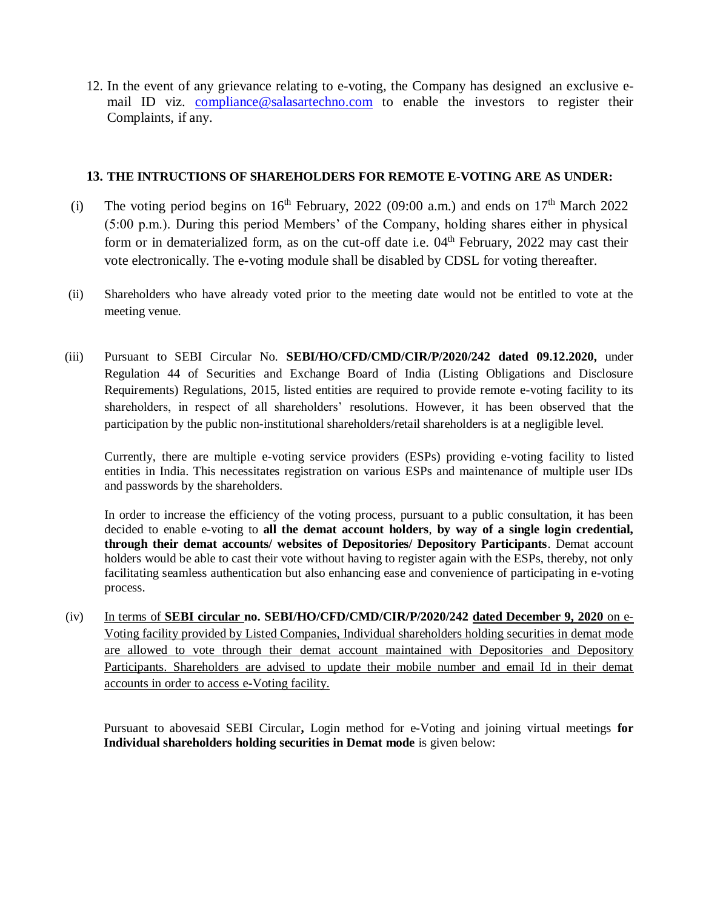12. In the event of any grievance relating to e-voting, the Company has designed an exclusive email ID viz. [compliance@salasartechno.com](mailto:compliance@salasartechno.com) to enable the investors to register their Complaints, if any.

#### **13. THE INTRUCTIONS OF SHAREHOLDERS FOR REMOTE E-VOTING ARE AS UNDER:**

- (i) The voting period begins on  $16<sup>th</sup>$  February, 2022 (09:00 a.m.) and ends on  $17<sup>th</sup>$  March 2022 (5:00 p.m.). During this period Members' of the Company, holding shares either in physical form or in dematerialized form, as on the cut-off date i.e.  $04<sup>th</sup>$  February, 2022 may cast their vote electronically. The e-voting module shall be disabled by CDSL for voting thereafter.
- (ii) Shareholders who have already voted prior to the meeting date would not be entitled to vote at the meeting venue.
- (iii) Pursuant to SEBI Circular No. **SEBI/HO/CFD/CMD/CIR/P/2020/242 dated 09.12.2020,** under Regulation 44 of Securities and Exchange Board of India (Listing Obligations and Disclosure Requirements) Regulations, 2015, listed entities are required to provide remote e-voting facility to its shareholders, in respect of all shareholders' resolutions. However, it has been observed that the participation by the public non-institutional shareholders/retail shareholders is at a negligible level.

Currently, there are multiple e-voting service providers (ESPs) providing e-voting facility to listed entities in India. This necessitates registration on various ESPs and maintenance of multiple user IDs and passwords by the shareholders.

In order to increase the efficiency of the voting process, pursuant to a public consultation, it has been decided to enable e-voting to **all the demat account holders**, **by way of a single login credential, through their demat accounts/ websites of Depositories/ Depository Participants**. Demat account holders would be able to cast their vote without having to register again with the ESPs, thereby, not only facilitating seamless authentication but also enhancing ease and convenience of participating in e-voting process.

(iv) In terms of **SEBI circular no. SEBI/HO/CFD/CMD/CIR/P/2020/242 dated December 9, 2020** on e-Voting facility provided by Listed Companies, Individual shareholders holding securities in demat mode are allowed to vote through their demat account maintained with Depositories and Depository Participants. Shareholders are advised to update their mobile number and email Id in their demat accounts in order to access e-Voting facility.

Pursuant to abovesaid SEBI Circular**,** Login method for e-Voting and joining virtual meetings **for Individual shareholders holding securities in Demat mode** is given below: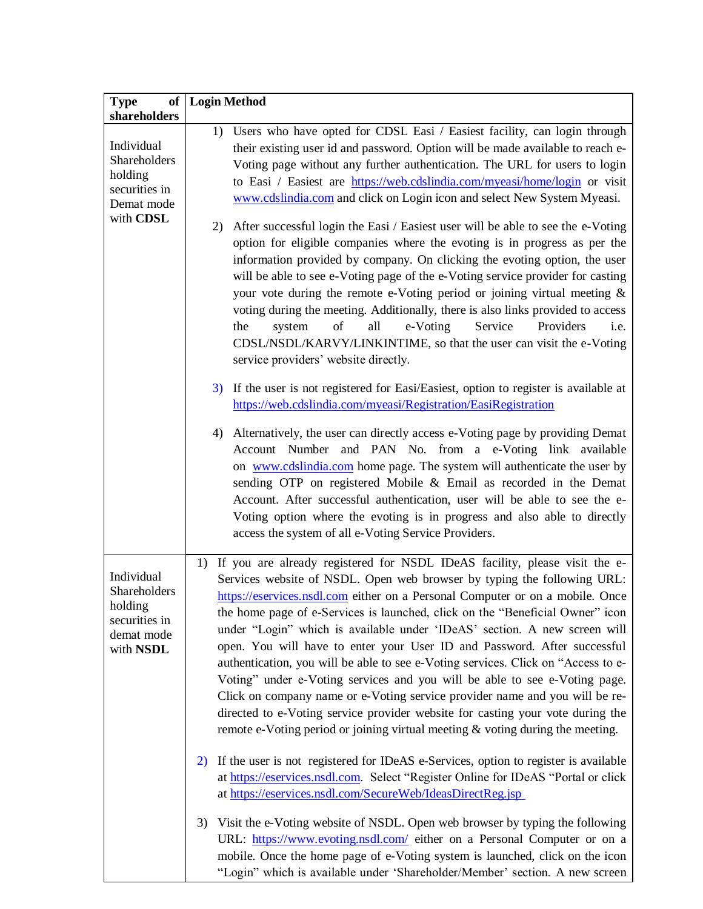| <b>Type</b><br><b>of</b><br>shareholders                                          | <b>Login Method</b>                                                                                                                                                                                                                                                                                                                                                                                                                                                                                                                                                                                                                                                                                                                                                                                                                                                                                                                                                                                                                                                                                  |  |
|-----------------------------------------------------------------------------------|------------------------------------------------------------------------------------------------------------------------------------------------------------------------------------------------------------------------------------------------------------------------------------------------------------------------------------------------------------------------------------------------------------------------------------------------------------------------------------------------------------------------------------------------------------------------------------------------------------------------------------------------------------------------------------------------------------------------------------------------------------------------------------------------------------------------------------------------------------------------------------------------------------------------------------------------------------------------------------------------------------------------------------------------------------------------------------------------------|--|
| Individual<br>Shareholders<br>holding<br>securities in<br>Demat mode<br>with CDSL | 1) Users who have opted for CDSL Easi / Easiest facility, can login through<br>their existing user id and password. Option will be made available to reach e-<br>Voting page without any further authentication. The URL for users to login<br>to Easi / Easiest are https://web.cdslindia.com/myeasi/home/login or visit<br>www.cdslindia.com and click on Login icon and select New System Myeasi.<br>After successful login the Easi / Easiest user will be able to see the e-Voting<br>2)<br>option for eligible companies where the evoting is in progress as per the<br>information provided by company. On clicking the evoting option, the user<br>will be able to see e-Voting page of the e-Voting service provider for casting<br>your vote during the remote e-Voting period or joining virtual meeting $\&$<br>voting during the meeting. Additionally, there is also links provided to access<br>of<br>Service<br>all<br>e-Voting<br>Providers<br>the<br>i.e.<br>system<br>CDSL/NSDL/KARVY/LINKINTIME, so that the user can visit the e-Voting<br>service providers' website directly. |  |
|                                                                                   | If the user is not registered for Easi/Easiest, option to register is available at<br>3)<br>https://web.cdslindia.com/myeasi/Registration/EasiRegistration                                                                                                                                                                                                                                                                                                                                                                                                                                                                                                                                                                                                                                                                                                                                                                                                                                                                                                                                           |  |
|                                                                                   | Alternatively, the user can directly access e-Voting page by providing Demat<br>4)<br>Account Number and PAN No. from a e-Voting link available<br>on www.cdslindia.com home page. The system will authenticate the user by<br>sending OTP on registered Mobile & Email as recorded in the Demat<br>Account. After successful authentication, user will be able to see the e-<br>Voting option where the evoting is in progress and also able to directly<br>access the system of all e-Voting Service Providers.                                                                                                                                                                                                                                                                                                                                                                                                                                                                                                                                                                                    |  |
| Individual<br>Shareholders<br>holding<br>securities in<br>demat mode<br>with NSDL | If you are already registered for NSDL IDeAS facility, please visit the e-<br>1)<br>Services website of NSDL. Open web browser by typing the following URL:<br>https://eservices.nsdl.com either on a Personal Computer or on a mobile. Once<br>the home page of e-Services is launched, click on the "Beneficial Owner" icon<br>under "Login" which is available under 'IDeAS' section. A new screen will<br>open. You will have to enter your User ID and Password. After successful<br>authentication, you will be able to see e-Voting services. Click on "Access to e-<br>Voting" under e-Voting services and you will be able to see e-Voting page.<br>Click on company name or e-Voting service provider name and you will be re-<br>directed to e-Voting service provider website for casting your vote during the<br>remote e-Voting period or joining virtual meeting $\&$ voting during the meeting.                                                                                                                                                                                      |  |
|                                                                                   | If the user is not registered for IDeAS e-Services, option to register is available<br>2)<br>at https://eservices.nsdl.com. Select "Register Online for IDeAS "Portal or click<br>at https://eservices.nsdl.com/SecureWeb/IdeasDirectReg.jsp                                                                                                                                                                                                                                                                                                                                                                                                                                                                                                                                                                                                                                                                                                                                                                                                                                                         |  |
|                                                                                   | Visit the e-Voting website of NSDL. Open web browser by typing the following<br>3)<br>URL: https://www.evoting.nsdl.com/ either on a Personal Computer or on a<br>mobile. Once the home page of e-Voting system is launched, click on the icon<br>"Login" which is available under 'Shareholder/Member' section. A new screen                                                                                                                                                                                                                                                                                                                                                                                                                                                                                                                                                                                                                                                                                                                                                                        |  |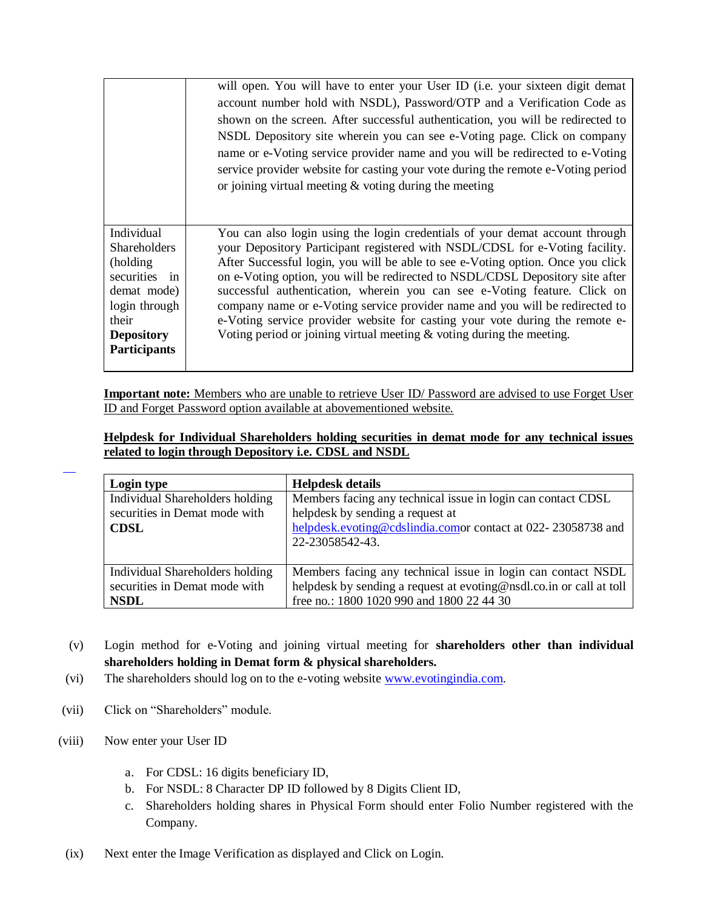|                                                                                                                                                      | will open. You will have to enter your User ID (i.e. your sixteen digit demat<br>account number hold with NSDL), Password/OTP and a Verification Code as<br>shown on the screen. After successful authentication, you will be redirected to<br>NSDL Depository site wherein you can see e-Voting page. Click on company<br>name or e-Voting service provider name and you will be redirected to e-Voting<br>service provider website for casting your vote during the remote e-Voting period<br>or joining virtual meeting $\&$ voting during the meeting                                                                                                 |
|------------------------------------------------------------------------------------------------------------------------------------------------------|-----------------------------------------------------------------------------------------------------------------------------------------------------------------------------------------------------------------------------------------------------------------------------------------------------------------------------------------------------------------------------------------------------------------------------------------------------------------------------------------------------------------------------------------------------------------------------------------------------------------------------------------------------------|
| Individual<br><b>Shareholders</b><br>(holding)<br>securities in<br>demat mode)<br>login through<br>their<br><b>Depository</b><br><b>Participants</b> | You can also login using the login credentials of your demat account through<br>your Depository Participant registered with NSDL/CDSL for e-Voting facility.<br>After Successful login, you will be able to see e-Voting option. Once you click<br>on e-Voting option, you will be redirected to NSDL/CDSL Depository site after<br>successful authentication, wherein you can see e-Voting feature. Click on<br>company name or e-Voting service provider name and you will be redirected to<br>e-Voting service provider website for casting your vote during the remote e-<br>Voting period or joining virtual meeting $\&$ voting during the meeting. |

**Important note:** Members who are unable to retrieve User ID/ Password are advised to use Forget User ID and Forget Password option available at abovementioned website.

**Helpdesk for Individual Shareholders holding securities in demat mode for any technical issues related to login through Depository i.e. CDSL and NSDL**

| Login type                      | <b>Helpdesk details</b>                                             |
|---------------------------------|---------------------------------------------------------------------|
| Individual Shareholders holding | Members facing any technical issue in login can contact CDSL        |
| securities in Demat mode with   | helpdesk by sending a request at                                    |
| <b>CDSL</b>                     | helpdesk.evoting@cdslindia.comor contact at 022-23058738 and        |
|                                 | 22-23058542-43.                                                     |
| Individual Shareholders holding | Members facing any technical issue in login can contact NSDL        |
| securities in Demat mode with   | helpdesk by sending a request at evoting@nsdl.co.in or call at toll |
| <b>NSDL</b>                     | free no.: 1800 1020 990 and 1800 22 44 30                           |

- (v) Login method for e-Voting and joining virtual meeting for **shareholders other than individual shareholders holding in Demat form & physical shareholders.**
- (vi) The shareholders should log on to the e-voting website [www.evotingindia.com.](http://www.evotingindia.com/)
- (vii) Click on "Shareholders" module.
- (viii) Now enter your User ID

l

- a. For CDSL: 16 digits beneficiary ID,
- b. For NSDL: 8 Character DP ID followed by 8 Digits Client ID,
- c. Shareholders holding shares in Physical Form should enter Folio Number registered with the Company.
- (ix) Next enter the Image Verification as displayed and Click on Login.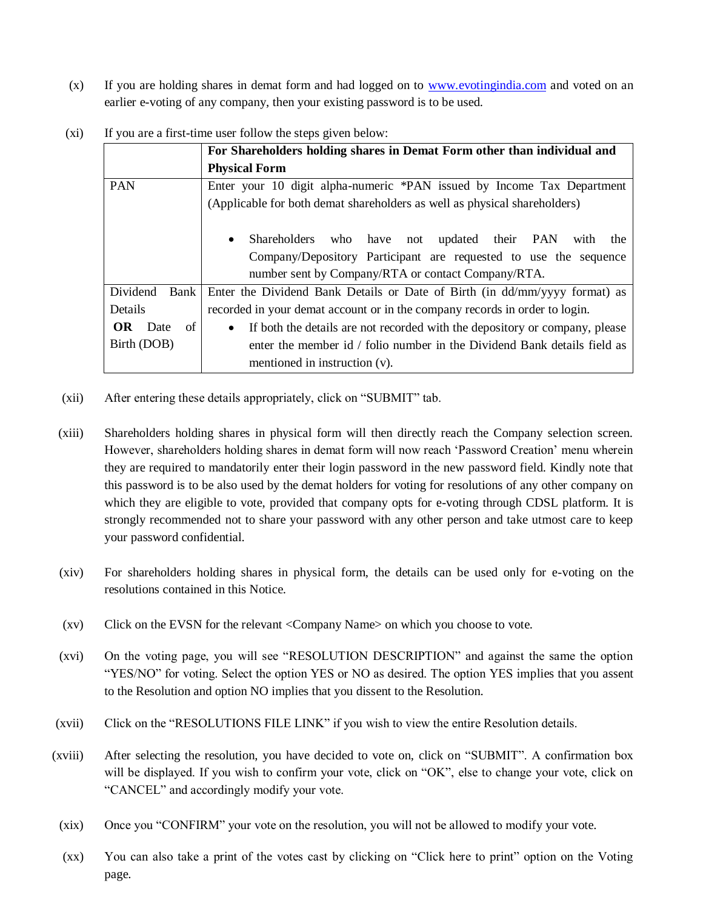(x) If you are holding shares in demat form and had logged on to [www.evotingindia.com](http://www.evotingindia.com/) and voted on an earlier e-voting of any company, then your existing password is to be used.

|                  | For Shareholders holding shares in Demat Form other than individual and                  |  |
|------------------|------------------------------------------------------------------------------------------|--|
|                  | <b>Physical Form</b>                                                                     |  |
| <b>PAN</b>       | Enter your 10 digit alpha-numeric *PAN issued by Income Tax Department                   |  |
|                  | (Applicable for both demat shareholders as well as physical shareholders)                |  |
|                  |                                                                                          |  |
|                  | Shareholders<br>updated their PAN<br>who have not<br>with<br>the<br>$\bullet$            |  |
|                  | Company/Depository Participant are requested to use the sequence                         |  |
|                  | number sent by Company/RTA or contact Company/RTA.                                       |  |
| Dividend<br>Bank | Enter the Dividend Bank Details or Date of Birth (in dd/mm/yyyy format) as               |  |
| Details          | recorded in your demat account or in the company records in order to login.              |  |
| OR<br>Date<br>of | If both the details are not recorded with the depository or company, please<br>$\bullet$ |  |
| Birth (DOB)      | enter the member id / folio number in the Dividend Bank details field as                 |  |
|                  | mentioned in instruction (v).                                                            |  |

(xi) If you are a first-time user follow the steps given below:

- (xii) After entering these details appropriately, click on "SUBMIT" tab.
- (xiii) Shareholders holding shares in physical form will then directly reach the Company selection screen. However, shareholders holding shares in demat form will now reach 'Password Creation' menu wherein they are required to mandatorily enter their login password in the new password field. Kindly note that this password is to be also used by the demat holders for voting for resolutions of any other company on which they are eligible to vote, provided that company opts for e-voting through CDSL platform. It is strongly recommended not to share your password with any other person and take utmost care to keep your password confidential.
- (xiv) For shareholders holding shares in physical form, the details can be used only for e-voting on the resolutions contained in this Notice.
- (xv) Click on the EVSN for the relevant <Company Name> on which you choose to vote.
- (xvi) On the voting page, you will see "RESOLUTION DESCRIPTION" and against the same the option "YES/NO" for voting. Select the option YES or NO as desired. The option YES implies that you assent to the Resolution and option NO implies that you dissent to the Resolution.
- (xvii) Click on the "RESOLUTIONS FILE LINK" if you wish to view the entire Resolution details.
- (xviii) After selecting the resolution, you have decided to vote on, click on "SUBMIT". A confirmation box will be displayed. If you wish to confirm your vote, click on "OK", else to change your vote, click on "CANCEL" and accordingly modify your vote.
- (xix) Once you "CONFIRM" your vote on the resolution, you will not be allowed to modify your vote.
- (xx) You can also take a print of the votes cast by clicking on "Click here to print" option on the Voting page.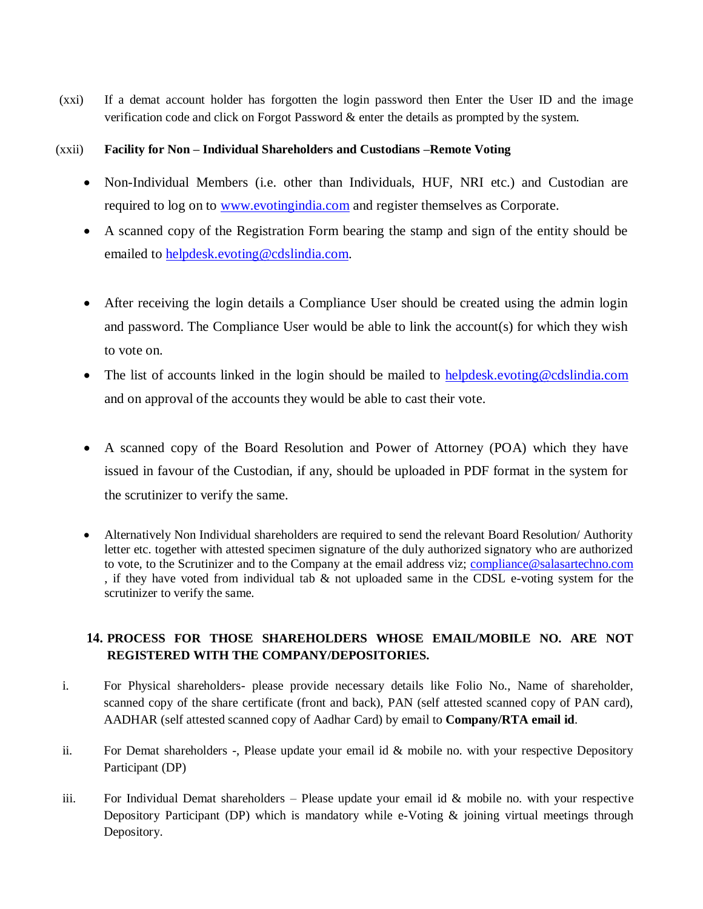(xxi) If a demat account holder has forgotten the login password then Enter the User ID and the image verification code and click on Forgot Password & enter the details as prompted by the system.

#### (xxii) **Facility for Non – Individual Shareholders and Custodians –Remote Voting**

- Non-Individual Members (i.e. other than Individuals, HUF, NRI etc.) and Custodian are required to log on to [www.evotingindia.com](http://www.evotingindia.com/) and register themselves as Corporate.
- A scanned copy of the Registration Form bearing the stamp and sign of the entity should be emailed to [helpdesk.evoting@cdslindia.com.](mailto:helpdesk.evoting@cdslindia.com)
- After receiving the login details a Compliance User should be created using the admin login and password. The Compliance User would be able to link the account(s) for which they wish to vote on.
- The list of accounts linked in the login should be mailed to [helpdesk.evoting@cdslindia.com](mailto:helpdesk.evoting@cdslindia.com) and on approval of the accounts they would be able to cast their vote.
- A scanned copy of the Board Resolution and Power of Attorney (POA) which they have issued in favour of the Custodian, if any, should be uploaded in PDF format in the system for the scrutinizer to verify the same.
- Alternatively Non Individual shareholders are required to send the relevant Board Resolution/ Authority letter etc. together with attested specimen signature of the duly authorized signatory who are authorized to vote, to the Scrutinizer and to the Company at the email address viz; [compliance@salasartechno.com](mailto:compliance@salasartechno.com) , if they have voted from individual tab & not uploaded same in the CDSL e-voting system for the scrutinizer to verify the same.

# **14. PROCESS FOR THOSE SHAREHOLDERS WHOSE EMAIL/MOBILE NO. ARE NOT REGISTERED WITH THE COMPANY/DEPOSITORIES.**

- i. For Physical shareholders- please provide necessary details like Folio No., Name of shareholder, scanned copy of the share certificate (front and back), PAN (self attested scanned copy of PAN card), AADHAR (self attested scanned copy of Aadhar Card) by email to **Company/RTA email id**.
- ii. For Demat shareholders -, Please update your email id & mobile no. with your respective Depository Participant (DP)
- iii. For Individual Demat shareholders  $-$  Please update your email id  $\&$  mobile no. with your respective Depository Participant (DP) which is mandatory while e-Voting & joining virtual meetings through Depository.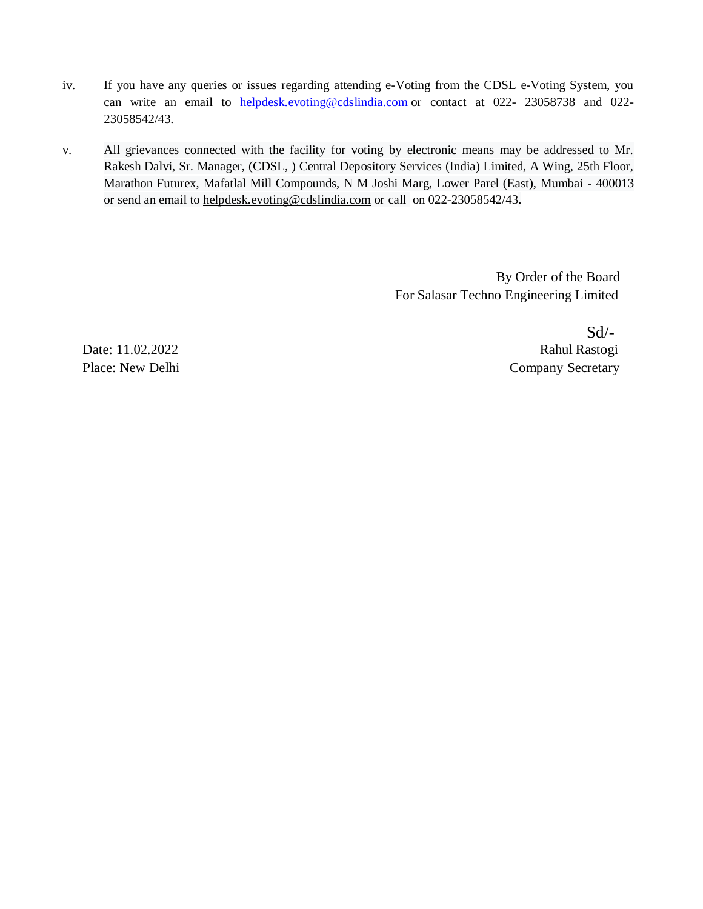- iv. If you have any queries or issues regarding attending e-Voting from the CDSL e-Voting System, you can write an email to [helpdesk.evoting@cdslindia.com](mailto:helpdesk.evoting@cdslindia.com) or contact at 022- 23058738 and 022- 23058542/43.
- v. All grievances connected with the facility for voting by electronic means may be addressed to Mr. Rakesh Dalvi, Sr. Manager, (CDSL, ) Central Depository Services (India) Limited, A Wing, 25th Floor, Marathon Futurex, Mafatlal Mill Compounds, N M Joshi Marg, Lower Parel (East), Mumbai - 400013 or send an email to [helpdesk.evoting@cdslindia.com](mailto:helpdesk.evoting@cdslindia.com) or call on 022-23058542/43.

By Order of the Board For Salasar Techno Engineering Limited

 $Sd$ <sup>-</sup> Date: 11.02.2022 Rahul Rastogi Place: New Delhi Company Secretary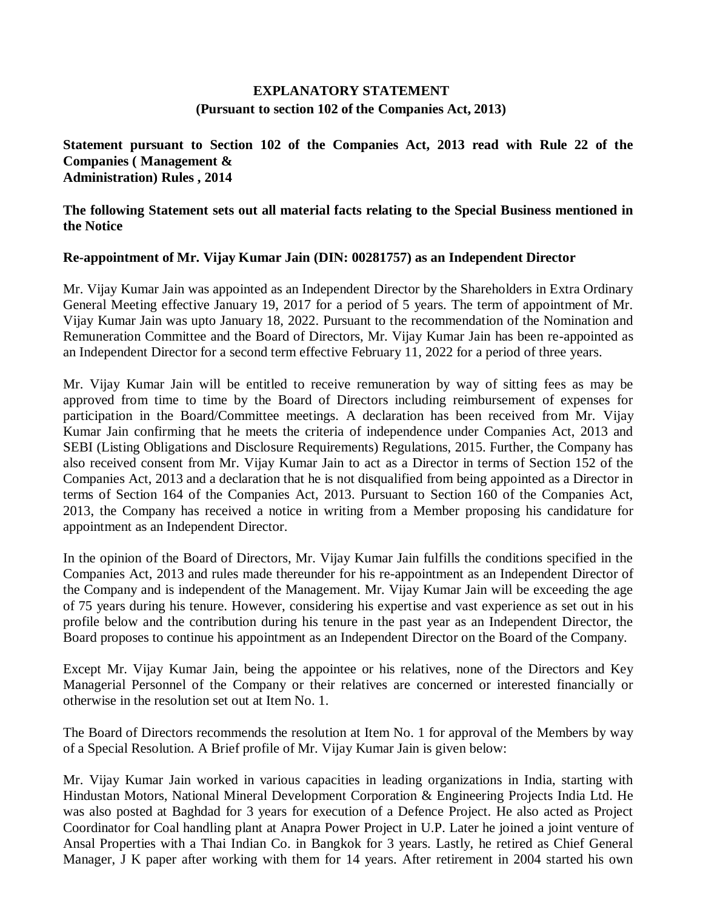# **EXPLANATORY STATEMENT (Pursuant to section 102 of the Companies Act, 2013)**

# **Statement pursuant to Section 102 of the Companies Act, 2013 read with Rule 22 of the Companies ( Management & Administration) Rules , 2014**

**The following Statement sets out all material facts relating to the Special Business mentioned in the Notice**

# **Re-appointment of Mr. Vijay Kumar Jain (DIN: 00281757) as an Independent Director**

Mr. Vijay Kumar Jain was appointed as an Independent Director by the Shareholders in Extra Ordinary General Meeting effective January 19, 2017 for a period of 5 years. The term of appointment of Mr. Vijay Kumar Jain was upto January 18, 2022. Pursuant to the recommendation of the Nomination and Remuneration Committee and the Board of Directors, Mr. Vijay Kumar Jain has been re-appointed as an Independent Director for a second term effective February 11, 2022 for a period of three years.

Mr. Vijay Kumar Jain will be entitled to receive remuneration by way of sitting fees as may be approved from time to time by the Board of Directors including reimbursement of expenses for participation in the Board/Committee meetings. A declaration has been received from Mr. Vijay Kumar Jain confirming that he meets the criteria of independence under Companies Act, 2013 and SEBI (Listing Obligations and Disclosure Requirements) Regulations, 2015. Further, the Company has also received consent from Mr. Vijay Kumar Jain to act as a Director in terms of Section 152 of the Companies Act, 2013 and a declaration that he is not disqualified from being appointed as a Director in terms of Section 164 of the Companies Act, 2013. Pursuant to Section 160 of the Companies Act, 2013, the Company has received a notice in writing from a Member proposing his candidature for appointment as an Independent Director.

In the opinion of the Board of Directors, Mr. Vijay Kumar Jain fulfills the conditions specified in the Companies Act, 2013 and rules made thereunder for his re-appointment as an Independent Director of the Company and is independent of the Management. Mr. Vijay Kumar Jain will be exceeding the age of 75 years during his tenure. However, considering his expertise and vast experience as set out in his profile below and the contribution during his tenure in the past year as an Independent Director, the Board proposes to continue his appointment as an Independent Director on the Board of the Company.

Except Mr. Vijay Kumar Jain, being the appointee or his relatives, none of the Directors and Key Managerial Personnel of the Company or their relatives are concerned or interested financially or otherwise in the resolution set out at Item No. 1.

The Board of Directors recommends the resolution at Item No. 1 for approval of the Members by way of a Special Resolution. A Brief profile of Mr. Vijay Kumar Jain is given below:

Mr. Vijay Kumar Jain worked in various capacities in leading organizations in India, starting with Hindustan Motors, National Mineral Development Corporation & Engineering Projects India Ltd. He was also posted at Baghdad for 3 years for execution of a Defence Project. He also acted as Project Coordinator for Coal handling plant at Anapra Power Project in U.P. Later he joined a joint venture of Ansal Properties with a Thai Indian Co. in Bangkok for 3 years. Lastly, he retired as Chief General Manager, J K paper after working with them for 14 years. After retirement in 2004 started his own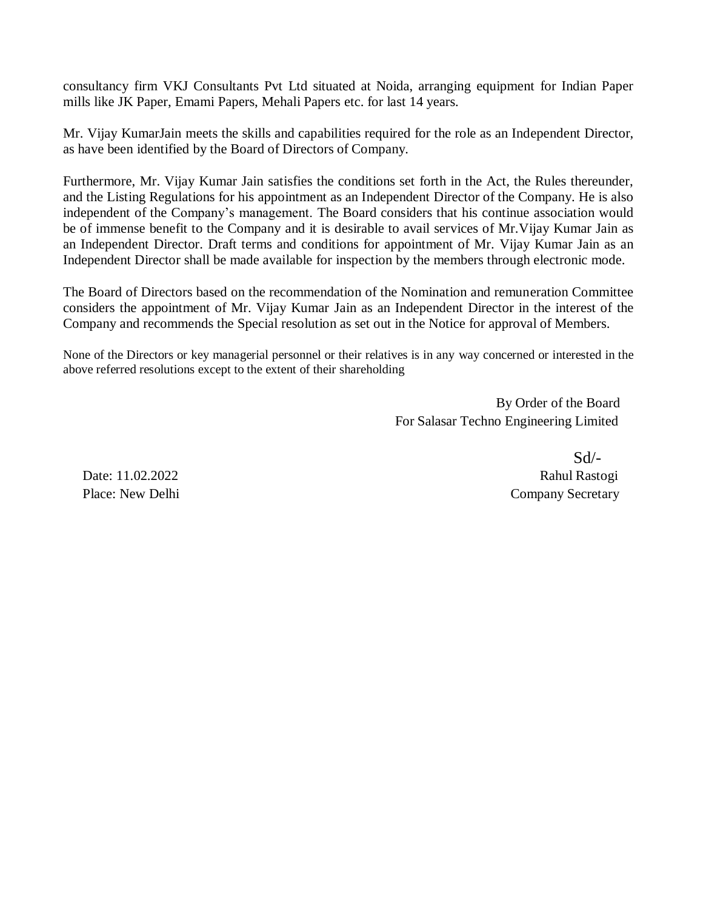consultancy firm VKJ Consultants Pvt Ltd situated at Noida, arranging equipment for Indian Paper mills like JK Paper, Emami Papers, Mehali Papers etc. for last 14 years.

Mr. Vijay KumarJain meets the skills and capabilities required for the role as an Independent Director, as have been identified by the Board of Directors of Company.

Furthermore, Mr. Vijay Kumar Jain satisfies the conditions set forth in the Act, the Rules thereunder, and the Listing Regulations for his appointment as an Independent Director of the Company. He is also independent of the Company's management. The Board considers that his continue association would be of immense benefit to the Company and it is desirable to avail services of Mr.Vijay Kumar Jain as an Independent Director. Draft terms and conditions for appointment of Mr. Vijay Kumar Jain as an Independent Director shall be made available for inspection by the members through electronic mode.

The Board of Directors based on the recommendation of the Nomination and remuneration Committee considers the appointment of Mr. Vijay Kumar Jain as an Independent Director in the interest of the Company and recommends the Special resolution as set out in the Notice for approval of Members.

None of the Directors or key managerial personnel or their relatives is in any way concerned or interested in the above referred resolutions except to the extent of their shareholding

> By Order of the Board For Salasar Techno Engineering Limited

 Sd/- Date: 11.02.2022 Rahul Rastogi Place: New Delhi Company Secretary